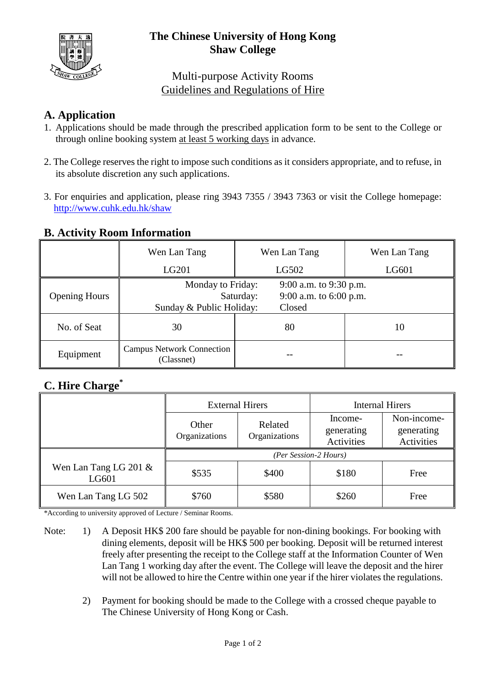

# **The Chinese University of Hong Kong Shaw College**

# Multi-purpose Activity Rooms Guidelines and Regulations of Hire

### **A. Application**

- 1. Applications should be made through the prescribed application form to be sent to the College or through online booking system at least 5 working days in advance.
- 2. The College reserves the right to impose such conditions as it considers appropriate, and to refuse, in its absolute discretion any such applications.
- 3. For enquiries and application, please ring 3943 7355 / 3943 7363 or visit the College homepage: <http://www.cuhk.edu.hk/shaw>

#### **B. Activity Room Information**

|                      | Wen Lan Tang                                   | Wen Lan Tang                                                                                   | Wen Lan Tang |  |
|----------------------|------------------------------------------------|------------------------------------------------------------------------------------------------|--------------|--|
|                      | LG201                                          | LG502                                                                                          | LG601        |  |
| <b>Opening Hours</b> | Sunday & Public Holiday:                       | 9:00 a.m. to 9:30 p.m.<br>Monday to Friday:<br>9:00 a.m. to $6:00$ p.m.<br>Saturday:<br>Closed |              |  |
| No. of Seat          | 30                                             | 80                                                                                             | 10           |  |
| Equipment            | <b>Campus Network Connection</b><br>(Classnet) |                                                                                                |              |  |

# **C. Hire Charge\***

|                                   | <b>External Hirers</b> |                          | <b>Internal Hirers</b>              |                                         |  |
|-----------------------------------|------------------------|--------------------------|-------------------------------------|-----------------------------------------|--|
|                                   | Other<br>Organizations | Related<br>Organizations | Income-<br>generating<br>Activities | Non-income-<br>generating<br>Activities |  |
|                                   | (Per Session-2 Hours)  |                          |                                     |                                         |  |
| Wen Lan Tang LG 201 $\&$<br>LG601 | \$535                  | \$400                    | \$180                               | Free                                    |  |
| Wen Lan Tang LG 502               | \$760                  | \$580                    | \$260                               | Free                                    |  |

\*According to university approved of Lecture / Seminar Rooms.

- Note: 1) A Deposit HK\$ 200 fare should be payable for non-dining bookings. For booking with dining elements, deposit will be HK\$ 500 per booking. Deposit will be returned interest freely after presenting the receipt to the College staff at the Information Counter of Wen Lan Tang 1 working day after the event. The College will leave the deposit and the hirer will not be allowed to hire the Centre within one year if the hirer violates the regulations.
	- 2) Payment for booking should be made to the College with a crossed cheque payable to The Chinese University of Hong Kong or Cash.